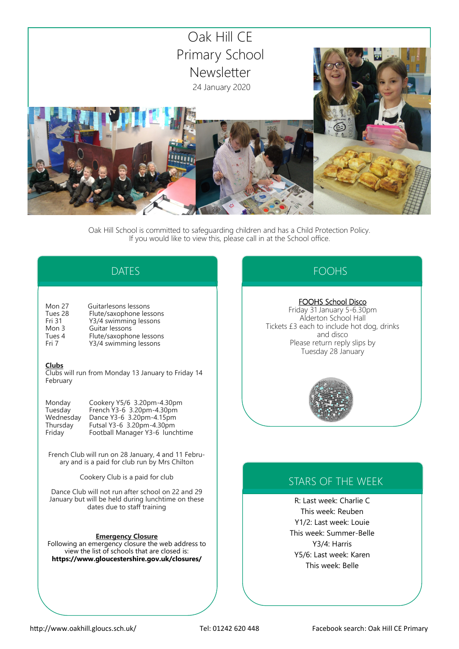

Oak Hill School is committed to safeguarding children and has a Child Protection Policy. If you would like to view this, please call in at the School office.

# DATES

| Mon 27  | Guitarlesons lessons    |
|---------|-------------------------|
| Tues 28 | Flute/saxophone lessons |
| Fri 31  | Y3/4 swimming lessons   |
| Mon 3   | Guitar lessons          |
| Tues 4  | Flute/saxophone lessons |
| Fri 7   | Y3/4 swimming lessons   |

### **Clubs**

Clubs will run from Monday 13 January to Friday 14 February

| Monday    | Cookery Y5/6 3.20pm-4.30pm      |
|-----------|---------------------------------|
| Tuesday   | French Y3-6 3.20pm-4.30pm       |
| Wednesday | Dance Y3-6 3.20pm-4.15pm        |
| Thursday  | Futsal Y3-6 3.20pm-4.30pm       |
| Friday    | Football Manager Y3-6 lunchtime |

French Club will run on 28 January, 4 and 11 February and is a paid for club run by Mrs Chilton

Cookery Club is a paid for club

Dance Club will not run after school on 22 and 29 January but will be held during lunchtime on these dates due to staff training

#### **Emergency Closure**

Following an emergency closure the web address to view the list of schools that are closed is: **https://www.gloucestershire.gov.uk/closures/**

## FOOHS

#### FOOHS School Disco

Friday 31 January 5-6.30pm Alderton School Hall Tickets £3 each to include hot dog, drinks and disco Please return reply slips by Tuesday 28 January



## STARS OF THE WEEK

R: Last week: Charlie C This week: Reuben Y1/2: Last week: Louie This week: Summer-Belle Y3/4: Harris Y5/6: Last week: Karen This week: Belle